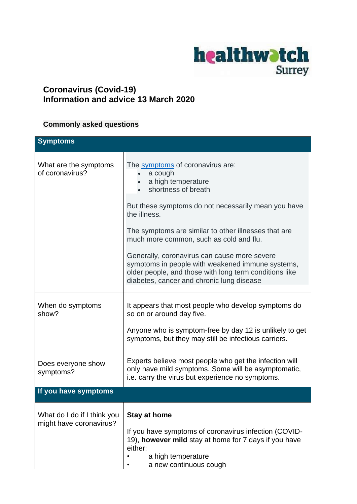

## **Coronavirus (Covid-19) Information and advice 13 March 2020**

## **Commonly asked questions**

| <b>Symptoms</b>                                        |                                                                                                                                                                                                         |
|--------------------------------------------------------|---------------------------------------------------------------------------------------------------------------------------------------------------------------------------------------------------------|
| What are the symptoms<br>of coronavirus?               | The symptoms of coronavirus are:<br>a cough<br>a high temperature<br>shortness of breath                                                                                                                |
|                                                        | But these symptoms do not necessarily mean you have<br>the illness.                                                                                                                                     |
|                                                        | The symptoms are similar to other illnesses that are<br>much more common, such as cold and flu.                                                                                                         |
|                                                        | Generally, coronavirus can cause more severe<br>symptoms in people with weakened immune systems,<br>older people, and those with long term conditions like<br>diabetes, cancer and chronic lung disease |
|                                                        |                                                                                                                                                                                                         |
| When do symptoms<br>show?                              | It appears that most people who develop symptoms do<br>so on or around day five.                                                                                                                        |
|                                                        | Anyone who is symptom-free by day 12 is unlikely to get<br>symptoms, but they may still be infectious carriers.                                                                                         |
| Does everyone show<br>symptoms?                        | Experts believe most people who get the infection will<br>only have mild symptoms. Some will be asymptomatic,<br>i.e. carry the virus but experience no symptoms.                                       |
| If you have symptoms                                   |                                                                                                                                                                                                         |
| What do I do if I think you<br>might have coronavirus? | <b>Stay at home</b><br>If you have symptoms of coronavirus infection (COVID-<br>19), however mild stay at home for 7 days if you have<br>either:<br>a high temperature<br>a new continuous cough        |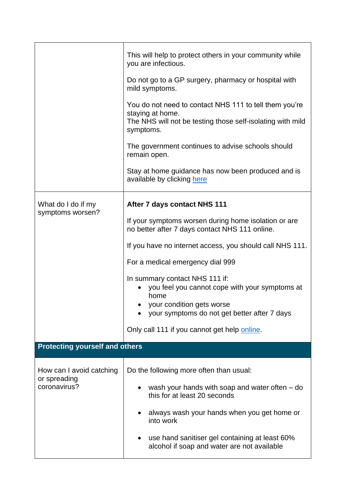|                                                          | This will help to protect others in your community while<br>you are infectious.                                                                                       |
|----------------------------------------------------------|-----------------------------------------------------------------------------------------------------------------------------------------------------------------------|
|                                                          | Do not go to a GP surgery, pharmacy or hospital with<br>mild symptoms.                                                                                                |
|                                                          | You do not need to contact NHS 111 to tell them you're<br>staying at home.<br>The NHS will not be testing those self-isolating with mild<br>symptoms.                 |
|                                                          | The government continues to advise schools should<br>remain open.                                                                                                     |
|                                                          | Stay at home guidance has now been produced and is<br>available by clicking here                                                                                      |
| What do I do if my<br>symptoms worsen?                   | After 7 days contact NHS 111                                                                                                                                          |
|                                                          | If your symptoms worsen during home isolation or are<br>no better after 7 days contact NHS 111 online.                                                                |
|                                                          | If you have no internet access, you should call NHS 111.                                                                                                              |
|                                                          | For a medical emergency dial 999                                                                                                                                      |
|                                                          | In summary contact NHS 111 if:<br>you feel you cannot cope with your symptoms at<br>home<br>your condition gets worse<br>your symptoms do not get better after 7 days |
|                                                          | Only call 111 if you cannot get help online.                                                                                                                          |
| <b>Protecting yourself and others</b>                    |                                                                                                                                                                       |
|                                                          |                                                                                                                                                                       |
| How can I avoid catching<br>or spreading<br>coronavirus? | Do the following more often than usual:                                                                                                                               |
|                                                          | wash your hands with soap and water often $-$ do<br>this for at least 20 seconds                                                                                      |
|                                                          | always wash your hands when you get home or<br>into work                                                                                                              |
|                                                          | use hand sanitiser gel containing at least 60%<br>alcohol if soap and water are not available                                                                         |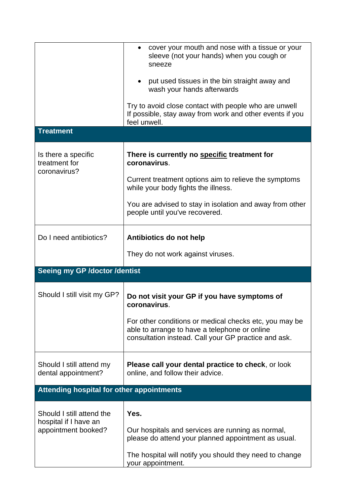|                                                                           | cover your mouth and nose with a tissue or your<br>$\bullet$<br>sleeve (not your hands) when you cough or<br>sneeze<br>put used tissues in the bin straight away and<br>wash your hands afterwards<br>Try to avoid close contact with people who are unwell |  |
|---------------------------------------------------------------------------|-------------------------------------------------------------------------------------------------------------------------------------------------------------------------------------------------------------------------------------------------------------|--|
|                                                                           | If possible, stay away from work and other events if you<br>feel unwell.                                                                                                                                                                                    |  |
| <b>Treatment</b>                                                          |                                                                                                                                                                                                                                                             |  |
| Is there a specific<br>treatment for<br>coronavirus?                      | There is currently no specific treatment for<br>coronavirus.                                                                                                                                                                                                |  |
|                                                                           | Current treatment options aim to relieve the symptoms<br>while your body fights the illness.                                                                                                                                                                |  |
|                                                                           | You are advised to stay in isolation and away from other<br>people until you've recovered.                                                                                                                                                                  |  |
| Do I need antibiotics?                                                    | Antibiotics do not help                                                                                                                                                                                                                                     |  |
|                                                                           | They do not work against viruses.                                                                                                                                                                                                                           |  |
| Seeing my GP /doctor /dentist                                             |                                                                                                                                                                                                                                                             |  |
| Should I still visit my GP?                                               | Do not visit your GP if you have symptoms of<br>coronavirus.                                                                                                                                                                                                |  |
|                                                                           | For other conditions or medical checks etc, you may be<br>able to arrange to have a telephone or online<br>consultation instead. Call your GP practice and ask.                                                                                             |  |
| Should I still attend my<br>dental appointment?                           | <b>Please call your dental practice to check, or look</b><br>online, and follow their advice.                                                                                                                                                               |  |
| Attending hospital for other appointments                                 |                                                                                                                                                                                                                                                             |  |
| Should I still attend the<br>hospital if I have an<br>appointment booked? | Yes.                                                                                                                                                                                                                                                        |  |
|                                                                           | Our hospitals and services are running as normal,<br>please do attend your planned appointment as usual.                                                                                                                                                    |  |
|                                                                           | The hospital will notify you should they need to change<br>your appointment.                                                                                                                                                                                |  |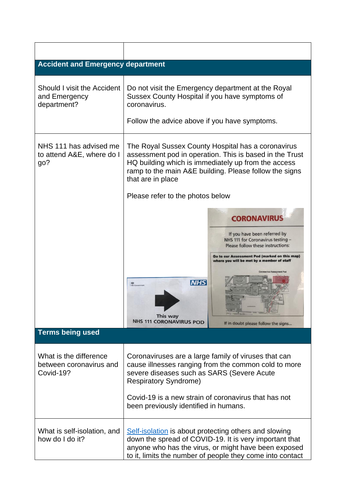| <b>Accident and Emergency department</b>                       |                                                                                                                                                                                                                                                                                             |                                                                                                                                                                                                                                                                   |  |  |
|----------------------------------------------------------------|---------------------------------------------------------------------------------------------------------------------------------------------------------------------------------------------------------------------------------------------------------------------------------------------|-------------------------------------------------------------------------------------------------------------------------------------------------------------------------------------------------------------------------------------------------------------------|--|--|
| Should I visit the Accident<br>and Emergency<br>department?    | Do not visit the Emergency department at the Royal<br>Sussex County Hospital if you have symptoms of<br>coronavirus.<br>Follow the advice above if you have symptoms.                                                                                                                       |                                                                                                                                                                                                                                                                   |  |  |
| NHS 111 has advised me<br>to attend A&E, where do I<br>go?     | The Royal Sussex County Hospital has a coronavirus<br>assessment pod in operation. This is based in the Trust<br>HQ building which is immediately up from the access<br>ramp to the main A&E building. Please follow the signs<br>that are in place<br>Please refer to the photos below     |                                                                                                                                                                                                                                                                   |  |  |
|                                                                |                                                                                                                                                                                                                                                                                             |                                                                                                                                                                                                                                                                   |  |  |
|                                                                | <b>NHS</b><br><b>AS</b><br>This way<br><b>NHS 111 CORONAVIRUS POD</b>                                                                                                                                                                                                                       | <b>CORONAVIRU</b><br>If you have been referred by<br>NHS 111 for Coronavirus testing -<br>Please follow these instructions:<br>Go to our Assessment Pod (marked on this map)<br>where you will be met by a member of staff<br>If in doubt please follow the signs |  |  |
| <b>Terms being used</b>                                        |                                                                                                                                                                                                                                                                                             |                                                                                                                                                                                                                                                                   |  |  |
| What is the difference<br>between coronavirus and<br>Covid-19? | Coronaviruses are a large family of viruses that can<br>cause illnesses ranging from the common cold to more<br>severe diseases such as SARS (Severe Acute<br><b>Respiratory Syndrome)</b><br>Covid-19 is a new strain of coronavirus that has not<br>been previously identified in humans. |                                                                                                                                                                                                                                                                   |  |  |
| What is self-isolation, and<br>how do I do it?                 | Self-isolation is about protecting others and slowing<br>down the spread of COVID-19. It is very important that<br>anyone who has the virus, or might have been exposed<br>to it, limits the number of people they come into contact                                                        |                                                                                                                                                                                                                                                                   |  |  |